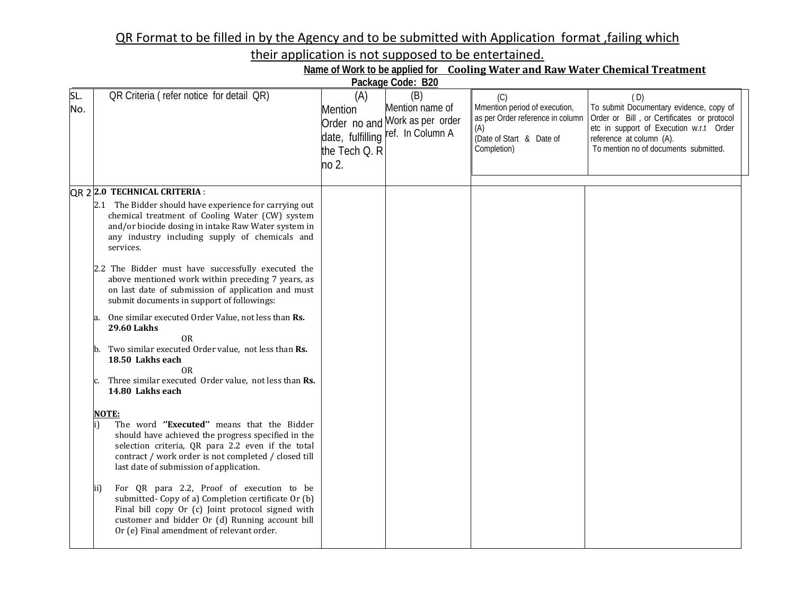## QR Format to be filled in by the Agency and to be submitted with Application format ,failing which

their application is not supposed to be entertained.

| Name of Work to be applied for Cooling Water and Raw Water Chemical Treatment |  |  |
|-------------------------------------------------------------------------------|--|--|
|                                                                               |  |  |

| Package Code: B20 |                                                                                                                                                                                                                                                                         |                                                 |                                                                                               |                                                                                                                            |                                                                                                                                                                                                              |  |  |  |  |  |
|-------------------|-------------------------------------------------------------------------------------------------------------------------------------------------------------------------------------------------------------------------------------------------------------------------|-------------------------------------------------|-----------------------------------------------------------------------------------------------|----------------------------------------------------------------------------------------------------------------------------|--------------------------------------------------------------------------------------------------------------------------------------------------------------------------------------------------------------|--|--|--|--|--|
| SL.<br>No.        | QR Criteria (refer notice for detail QR)                                                                                                                                                                                                                                | (A)<br><b>Mention</b><br>the Tech Q. R<br>no 2. | (B)<br>Mention name of<br>Order no and Work as per order<br>date, fulfilling ref. In Column A | (C)<br>Mmention period of execution,<br>as per Order reference in column<br>(A)<br>(Date of Start & Date of<br>Completion) | (D)<br>To submit Documentary evidence, copy of<br>Order or Bill, or Certificates or protocol<br>etc in support of Execution w.r.t Order<br>reference at column (A).<br>To mention no of documents submitted. |  |  |  |  |  |
|                   | QR 2 2.0 TECHNICAL CRITERIA :                                                                                                                                                                                                                                           |                                                 |                                                                                               |                                                                                                                            |                                                                                                                                                                                                              |  |  |  |  |  |
|                   | 2.1 The Bidder should have experience for carrying out<br>chemical treatment of Cooling Water (CW) system<br>and/or biocide dosing in intake Raw Water system in<br>any industry including supply of chemicals and<br>services.                                         |                                                 |                                                                                               |                                                                                                                            |                                                                                                                                                                                                              |  |  |  |  |  |
|                   | 2.2 The Bidder must have successfully executed the<br>above mentioned work within preceding 7 years, as<br>on last date of submission of application and must<br>submit documents in support of followings:                                                             |                                                 |                                                                                               |                                                                                                                            |                                                                                                                                                                                                              |  |  |  |  |  |
|                   | One similar executed Order Value, not less than Rs.<br><b>29.60 Lakhs</b><br><b>OR</b><br>Two similar executed Order value, not less than Rs.<br>18.50 Lakhs each                                                                                                       |                                                 |                                                                                               |                                                                                                                            |                                                                                                                                                                                                              |  |  |  |  |  |
|                   | 0 <sub>R</sub><br>Three similar executed Order value, not less than Rs.<br>14.80 Lakhs each                                                                                                                                                                             |                                                 |                                                                                               |                                                                                                                            |                                                                                                                                                                                                              |  |  |  |  |  |
|                   | <b>NOTE:</b><br>The word "Executed" means that the Bidder<br>should have achieved the progress specified in the<br>selection criteria, QR para 2.2 even if the total<br>contract / work order is not completed / closed till<br>last date of submission of application. |                                                 |                                                                                               |                                                                                                                            |                                                                                                                                                                                                              |  |  |  |  |  |
|                   | For QR para 2.2, Proof of execution to be<br>(ii<br>submitted- Copy of a) Completion certificate Or (b)<br>Final bill copy Or (c) Joint protocol signed with<br>customer and bidder Or (d) Running account bill<br>Or (e) Final amendment of relevant order.            |                                                 |                                                                                               |                                                                                                                            |                                                                                                                                                                                                              |  |  |  |  |  |